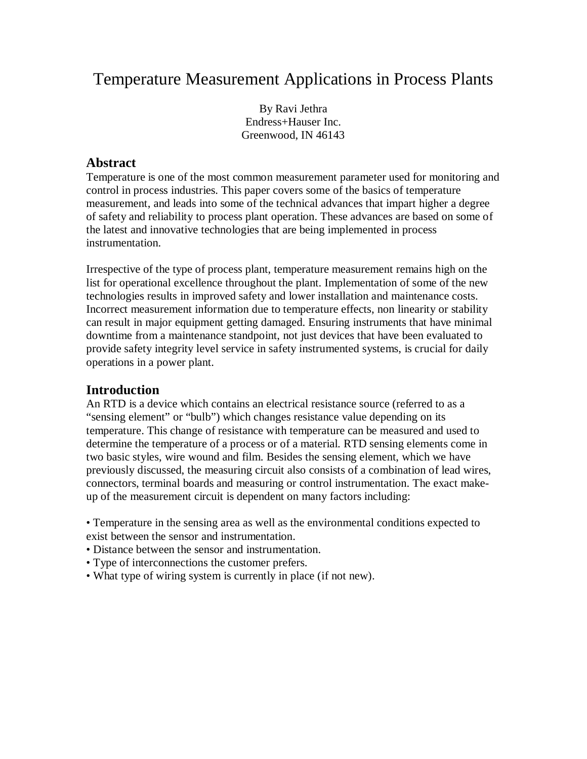# Temperature Measurement Applications in Process Plants

By Ravi Jethra Endress+Hauser Inc. Greenwood, IN 46143

### **Abstract**

Temperature is one of the most common measurement parameter used for monitoring and control in process industries. This paper covers some of the basics of temperature measurement, and leads into some of the technical advances that impart higher a degree of safety and reliability to process plant operation. These advances are based on some of the latest and innovative technologies that are being implemented in process instrumentation.

Irrespective of the type of process plant, temperature measurement remains high on the list for operational excellence throughout the plant. Implementation of some of the new technologies results in improved safety and lower installation and maintenance costs. Incorrect measurement information due to temperature effects, non linearity or stability can result in major equipment getting damaged. Ensuring instruments that have minimal downtime from a maintenance standpoint, not just devices that have been evaluated to provide safety integrity level service in safety instrumented systems, is crucial for daily operations in a power plant.

### **Introduction**

An RTD is a device which contains an electrical resistance source (referred to as a "sensing element" or "bulb") which changes resistance value depending on its temperature. This change of resistance with temperature can be measured and used to determine the temperature of a process or of a material. RTD sensing elements come in two basic styles, wire wound and film. Besides the sensing element, which we have previously discussed, the measuring circuit also consists of a combination of lead wires, connectors, terminal boards and measuring or control instrumentation. The exact makeup of the measurement circuit is dependent on many factors including:

• Temperature in the sensing area as well as the environmental conditions expected to exist between the sensor and instrumentation.

- Distance between the sensor and instrumentation.
- Type of interconnections the customer prefers.
- What type of wiring system is currently in place (if not new).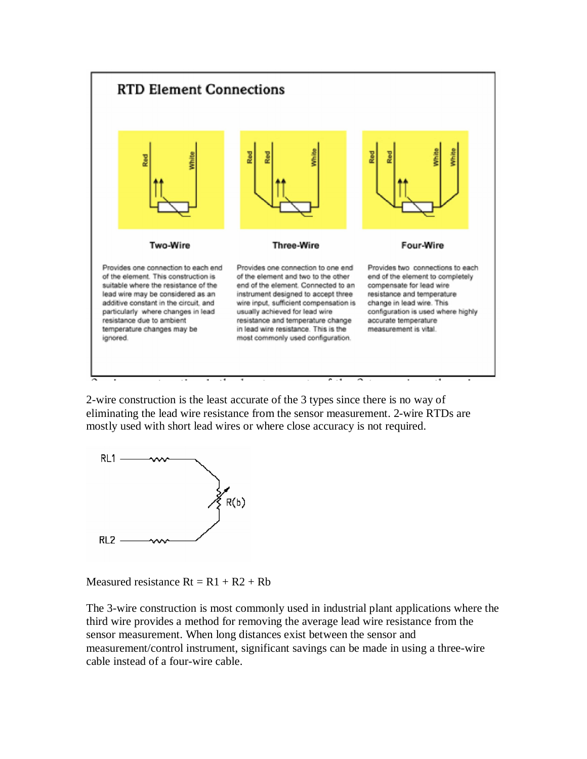

2-wire construction is the least accurate of the 3 types since there is no way of eliminating the lead wire resistance from the sensor measurement. 2-wire RTDs are mostly used with short lead wires or where close accuracy is not required.



Measured resistance  $Rt = R1 + R2 + Rb$ 

The 3-wire construction is most commonly used in industrial plant applications where the third wire provides a method for removing the average lead wire resistance from the sensor measurement. When long distances exist between the sensor and measurement/control instrument, significant savings can be made in using a three-wire cable instead of a four-wire cable.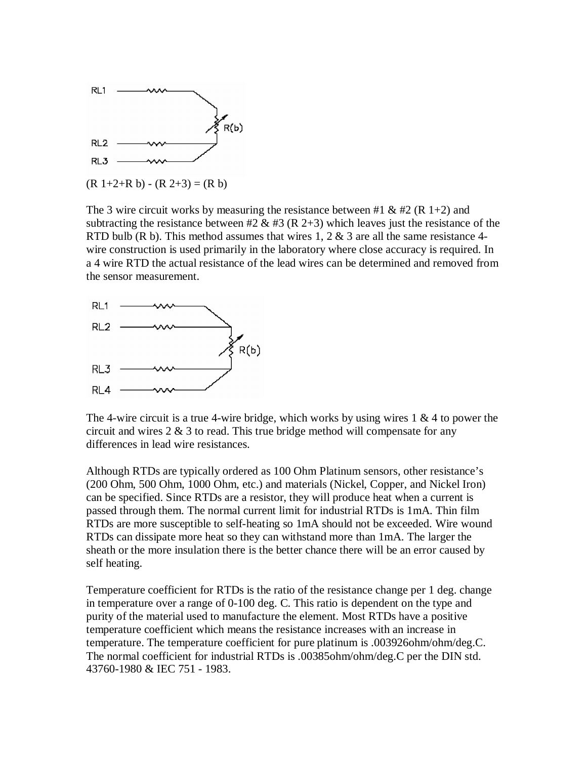

The 3 wire circuit works by measuring the resistance between #1 & #2 (R 1+2) and subtracting the resistance between #2 & #3 (R 2+3) which leaves just the resistance of the RTD bulb (R b). This method assumes that wires 1, 2  $\&$  3 are all the same resistance 4wire construction is used primarily in the laboratory where close accuracy is required. In a 4 wire RTD the actual resistance of the lead wires can be determined and removed from the sensor measurement.



The 4-wire circuit is a true 4-wire bridge, which works by using wires 1  $\&$  4 to power the circuit and wires  $2 \& 3$  to read. This true bridge method will compensate for any differences in lead wire resistances.

Although RTDs are typically ordered as 100 Ohm Platinum sensors, other resistance's (200 Ohm, 500 Ohm, 1000 Ohm, etc.) and materials (Nickel, Copper, and Nickel Iron) can be specified. Since RTDs are a resistor, they will produce heat when a current is passed through them. The normal current limit for industrial RTDs is 1mA. Thin film RTDs are more susceptible to self-heating so 1mA should not be exceeded. Wire wound RTDs can dissipate more heat so they can withstand more than 1mA. The larger the sheath or the more insulation there is the better chance there will be an error caused by self heating.

Temperature coefficient for RTDs is the ratio of the resistance change per 1 deg. change in temperature over a range of 0-100 deg. C. This ratio is dependent on the type and purity of the material used to manufacture the element. Most RTDs have a positive temperature coefficient which means the resistance increases with an increase in temperature. The temperature coefficient for pure platinum is .003926ohm/ohm/deg.C. The normal coefficient for industrial RTDs is .00385ohm/ohm/deg.C per the DIN std. 43760-1980 & IEC 751 - 1983.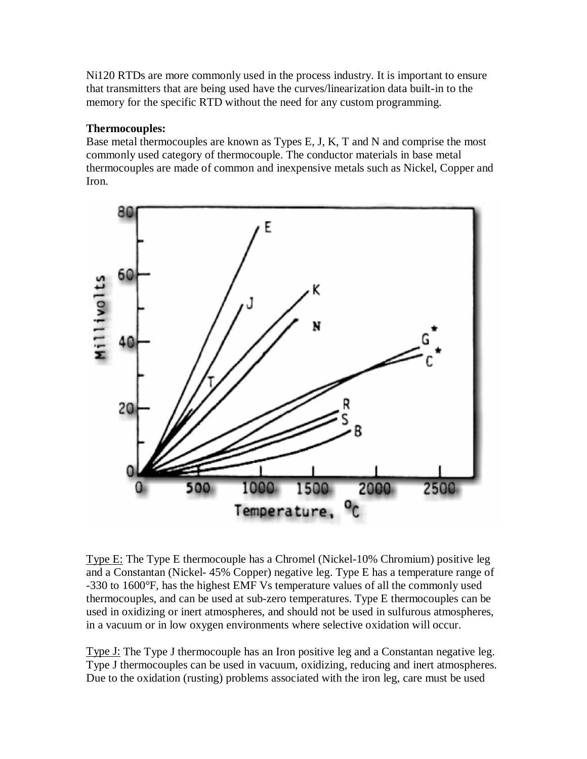Ni120 RTDs are more commonly used in the process industry. It is important to ensure that transmitters that are being used have the curves/linearization data built-in to the memory for the specific RTD without the need for any custom programming.

### **Thermocouples:**

Base metal thermocouples are known as Types E, J, K, T and N and comprise the most commonly used category of thermocouple. The conductor materials in base metal thermocouples are made of common and inexpensive metals such as Nickel, Copper and Iron.



Type E: The Type E thermocouple has a Chromel (Nickel-10% Chromium) positive leg and a Constantan (Nickel- 45% Copper) negative leg. Type E has a temperature range of -330 to 1600°F, has the highest EMF Vs temperature values of all the commonly used thermocouples, and can be used at sub-zero temperatures. Type E thermocouples can be used in oxidizing or inert atmospheres, and should not be used in sulfurous atmospheres, in a vacuum or in low oxygen environments where selective oxidation will occur.

Type J: The Type J thermocouple has an Iron positive leg and a Constantan negative leg. Type J thermocouples can be used in vacuum, oxidizing, reducing and inert atmospheres. Due to the oxidation (rusting) problems associated with the iron leg, care must be used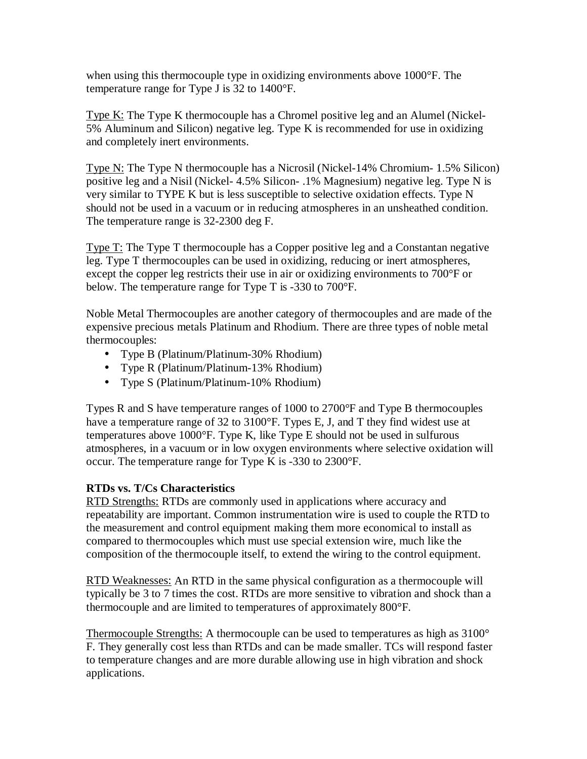when using this thermocouple type in oxidizing environments above 1000°F. The temperature range for Type J is 32 to 1400°F.

Type K: The Type K thermocouple has a Chromel positive leg and an Alumel (Nickel-5% Aluminum and Silicon) negative leg. Type K is recommended for use in oxidizing and completely inert environments.

Type N: The Type N thermocouple has a Nicrosil (Nickel-14% Chromium- 1.5% Silicon) positive leg and a Nisil (Nickel- 4.5% Silicon- .1% Magnesium) negative leg. Type N is very similar to TYPE K but is less susceptible to selective oxidation effects. Type N should not be used in a vacuum or in reducing atmospheres in an unsheathed condition. The temperature range is 32-2300 deg F.

Type T: The Type T thermocouple has a Copper positive leg and a Constantan negative leg. Type T thermocouples can be used in oxidizing, reducing or inert atmospheres, except the copper leg restricts their use in air or oxidizing environments to 700°F or below. The temperature range for Type T is -330 to 700°F.

Noble Metal Thermocouples are another category of thermocouples and are made of the expensive precious metals Platinum and Rhodium. There are three types of noble metal thermocouples:

- Type B (Platinum/Platinum-30% Rhodium)
- Type R (Platinum/Platinum-13% Rhodium)
- Type S (Platinum/Platinum-10% Rhodium)

Types R and S have temperature ranges of 1000 to 2700°F and Type B thermocouples have a temperature range of 32 to 3100°F. Types E, J, and T they find widest use at temperatures above 1000°F. Type K, like Type E should not be used in sulfurous atmospheres, in a vacuum or in low oxygen environments where selective oxidation will occur. The temperature range for Type K is -330 to 2300°F.

### **RTDs vs. T/Cs Characteristics**

RTD Strengths: RTDs are commonly used in applications where accuracy and repeatability are important. Common instrumentation wire is used to couple the RTD to the measurement and control equipment making them more economical to install as compared to thermocouples which must use special extension wire, much like the composition of the thermocouple itself, to extend the wiring to the control equipment.

RTD Weaknesses: An RTD in the same physical configuration as a thermocouple will typically be 3 to 7 times the cost. RTDs are more sensitive to vibration and shock than a thermocouple and are limited to temperatures of approximately 800°F.

Thermocouple Strengths: A thermocouple can be used to temperatures as high as 3100° F. They generally cost less than RTDs and can be made smaller. TCs will respond faster to temperature changes and are more durable allowing use in high vibration and shock applications.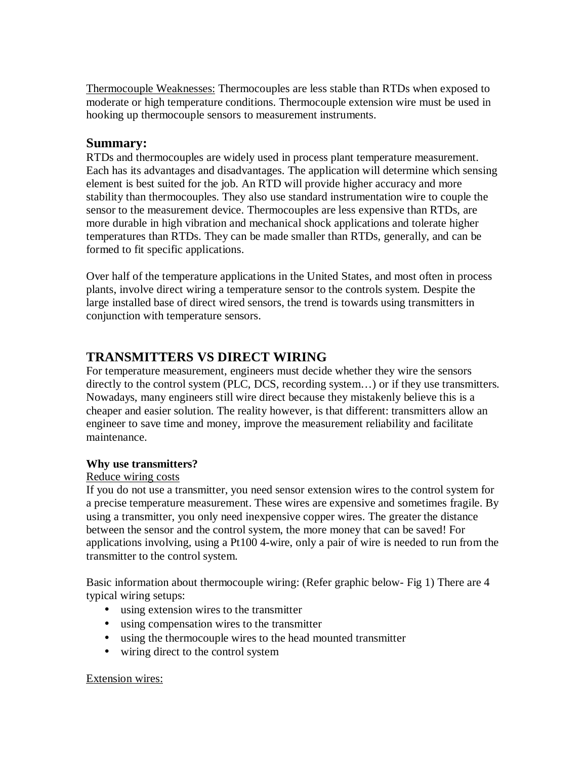Thermocouple Weaknesses: Thermocouples are less stable than RTDs when exposed to moderate or high temperature conditions. Thermocouple extension wire must be used in hooking up thermocouple sensors to measurement instruments.

### **Summary:**

RTDs and thermocouples are widely used in process plant temperature measurement. Each has its advantages and disadvantages. The application will determine which sensing element is best suited for the job. An RTD will provide higher accuracy and more stability than thermocouples. They also use standard instrumentation wire to couple the sensor to the measurement device. Thermocouples are less expensive than RTDs, are more durable in high vibration and mechanical shock applications and tolerate higher temperatures than RTDs. They can be made smaller than RTDs, generally, and can be formed to fit specific applications.

Over half of the temperature applications in the United States, and most often in process plants, involve direct wiring a temperature sensor to the controls system. Despite the large installed base of direct wired sensors, the trend is towards using transmitters in conjunction with temperature sensors.

# **TRANSMITTERS VS DIRECT WIRING**

For temperature measurement, engineers must decide whether they wire the sensors directly to the control system (PLC, DCS, recording system…) or if they use transmitters. Nowadays, many engineers still wire direct because they mistakenly believe this is a cheaper and easier solution. The reality however, is that different: transmitters allow an engineer to save time and money, improve the measurement reliability and facilitate maintenance.

#### **Why use transmitters?**

#### Reduce wiring costs

If you do not use a transmitter, you need sensor extension wires to the control system for a precise temperature measurement. These wires are expensive and sometimes fragile. By using a transmitter, you only need inexpensive copper wires. The greater the distance between the sensor and the control system, the more money that can be saved! For applications involving, using a Pt100 4-wire, only a pair of wire is needed to run from the transmitter to the control system.

Basic information about thermocouple wiring: (Refer graphic below- Fig 1) There are 4 typical wiring setups:

- using extension wires to the transmitter
- using compensation wires to the transmitter
- using the thermocouple wires to the head mounted transmitter
- wiring direct to the control system

#### Extension wires: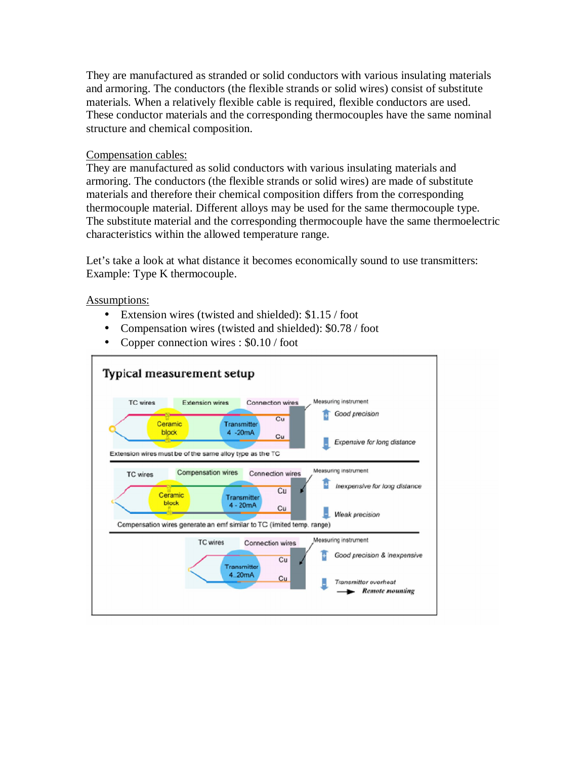They are manufactured as stranded or solid conductors with various insulating materials and armoring. The conductors (the flexible strands or solid wires) consist of substitute materials. When a relatively flexible cable is required, flexible conductors are used. These conductor materials and the corresponding thermocouples have the same nominal structure and chemical composition.

### Compensation cables:

They are manufactured as solid conductors with various insulating materials and armoring. The conductors (the flexible strands or solid wires) are made of substitute materials and therefore their chemical composition differs from the corresponding thermocouple material. Different alloys may be used for the same thermocouple type. The substitute material and the corresponding thermocouple have the same thermoelectric characteristics within the allowed temperature range.

Let's take a look at what distance it becomes economically sound to use transmitters: Example: Type K thermocouple.

Assumptions:

- Extension wires (twisted and shielded): \$1.15 / foot
- Compensation wires (twisted and shielded):  $$0.78 /$  foot
- Copper connection wires :  $$0.10 /$  foot

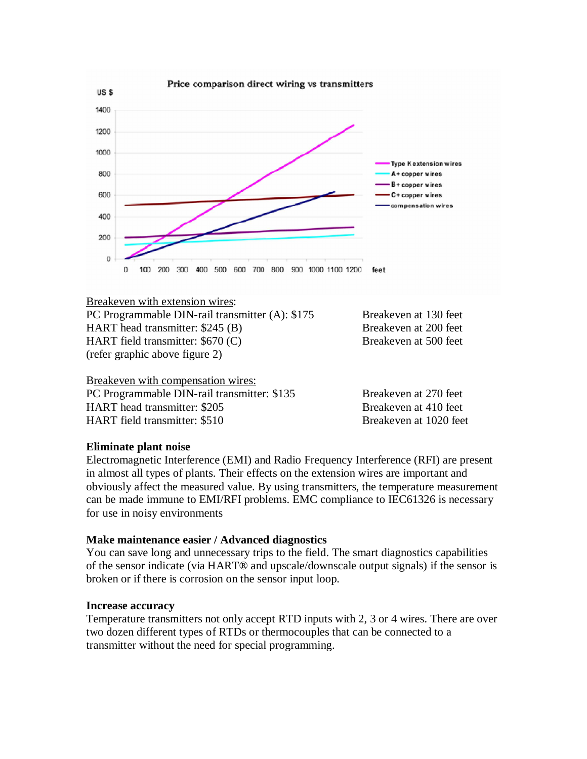

#### Breakeven with extension wires:

PC Programmable DIN-rail transmitter (A): \$175 Breakeven at 130 feet HART head transmitter: \$245 (B) Breakeven at 200 feet HART field transmitter: \$670 (C) Breakeven at 500 feet (refer graphic above figure 2)

Breakeven with compensation wires: PC Programmable DIN-rail transmitter: \$135 Breakeven at 270 feet HART head transmitter: \$205 Breakeven at 410 feet HART field transmitter: \$510 Breakeven at 1020 feet

#### **Eliminate plant noise**

Electromagnetic Interference (EMI) and Radio Frequency Interference (RFI) are present in almost all types of plants. Their effects on the extension wires are important and obviously affect the measured value. By using transmitters, the temperature measurement can be made immune to EMI/RFI problems. EMC compliance to IEC61326 is necessary for use in noisy environments

#### **Make maintenance easier / Advanced diagnostics**

You can save long and unnecessary trips to the field. The smart diagnostics capabilities of the sensor indicate (via HART® and upscale/downscale output signals) if the sensor is broken or if there is corrosion on the sensor input loop.

#### **Increase accuracy**

Temperature transmitters not only accept RTD inputs with 2, 3 or 4 wires. There are over two dozen different types of RTDs or thermocouples that can be connected to a transmitter without the need for special programming.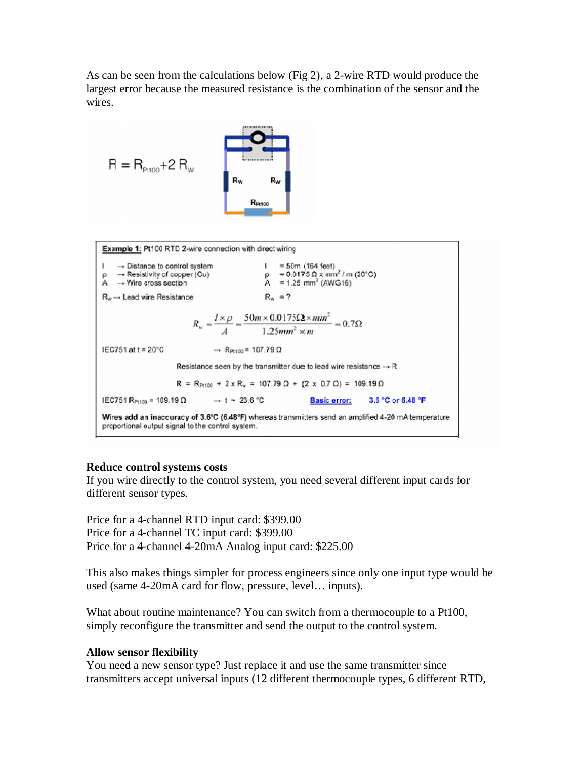As can be seen from the calculations below (Fig 2), a 2-wire RTD would produce the largest error because the measured resistance is the combination of the sensor and the wires.



#### **Reduce control systems costs**

If you wire directly to the control system, you need several different input cards for different sensor types.

Price for a 4-channel RTD input card: \$399.00 Price for a 4-channel TC input card: \$399.00 Price for a 4-channel 4-20mA Analog input card: \$225.00

This also makes things simpler for process engineers since only one input type would be used (same 4-20mA card for flow, pressure, level… inputs).

What about routine maintenance? You can switch from a thermocouple to a Pt100, simply reconfigure the transmitter and send the output to the control system.

#### **Allow sensor flexibility**

You need a new sensor type? Just replace it and use the same transmitter since transmitters accept universal inputs (12 different thermocouple types, 6 different RTD,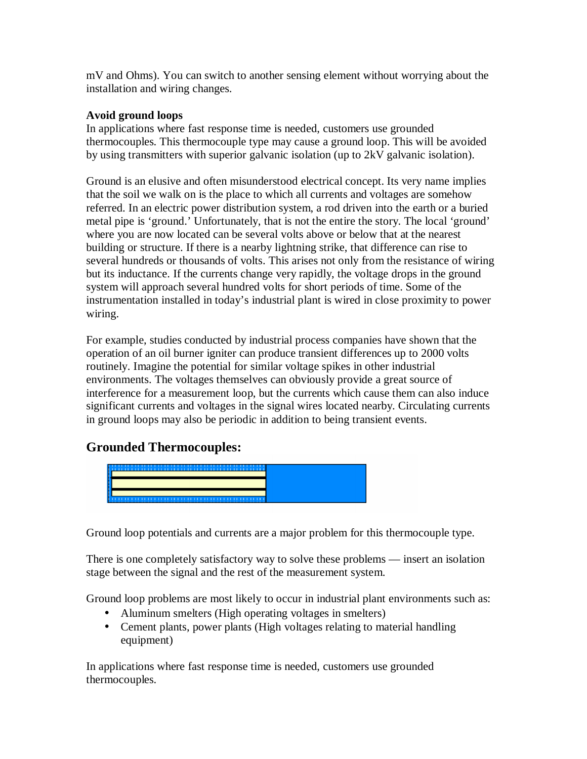mV and Ohms). You can switch to another sensing element without worrying about the installation and wiring changes.

### **Avoid ground loops**

In applications where fast response time is needed, customers use grounded thermocouples. This thermocouple type may cause a ground loop. This will be avoided by using transmitters with superior galvanic isolation (up to 2kV galvanic isolation).

Ground is an elusive and often misunderstood electrical concept. Its very name implies that the soil we walk on is the place to which all currents and voltages are somehow referred. In an electric power distribution system, a rod driven into the earth or a buried metal pipe is 'ground.' Unfortunately, that is not the entire the story. The local 'ground' where you are now located can be several volts above or below that at the nearest building or structure. If there is a nearby lightning strike, that difference can rise to several hundreds or thousands of volts. This arises not only from the resistance of wiring but its inductance. If the currents change very rapidly, the voltage drops in the ground system will approach several hundred volts for short periods of time. Some of the instrumentation installed in today's industrial plant is wired in close proximity to power wiring.

For example, studies conducted by industrial process companies have shown that the operation of an oil burner igniter can produce transient differences up to 2000 volts routinely. Imagine the potential for similar voltage spikes in other industrial environments. The voltages themselves can obviously provide a great source of interference for a measurement loop, but the currents which cause them can also induce significant currents and voltages in the signal wires located nearby. Circulating currents in ground loops may also be periodic in addition to being transient events.

# **Grounded Thermocouples:**



Ground loop potentials and currents are a major problem for this thermocouple type.

There is one completely satisfactory way to solve these problems — insert an isolation stage between the signal and the rest of the measurement system.

Ground loop problems are most likely to occur in industrial plant environments such as:

- Aluminum smelters (High operating voltages in smelters)
- Cement plants, power plants (High voltages relating to material handling equipment)

In applications where fast response time is needed, customers use grounded thermocouples.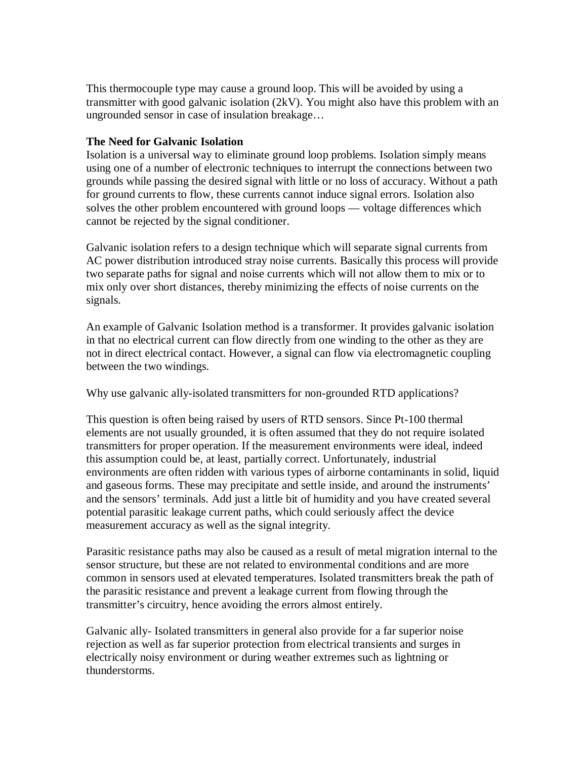This thermocouple type may cause a ground loop. This will be avoided by using a transmitter with good galvanic isolation (2kV). You might also have this problem with an ungrounded sensor in case of insulation breakage…

#### **The Need for Galvanic Isolation**

Isolation is a universal way to eliminate ground loop problems. Isolation simply means using one of a number of electronic techniques to interrupt the connections between two grounds while passing the desired signal with little or no loss of accuracy. Without a path for ground currents to flow, these currents cannot induce signal errors. Isolation also solves the other problem encountered with ground loops — voltage differences which cannot be rejected by the signal conditioner.

Galvanic isolation refers to a design technique which will separate signal currents from AC power distribution introduced stray noise currents. Basically this process will provide two separate paths for signal and noise currents which will not allow them to mix or to mix only over short distances, thereby minimizing the effects of noise currents on the signals.

An example of Galvanic Isolation method is a transformer. It provides galvanic isolation in that no electrical current can flow directly from one winding to the other as they are not in direct electrical contact. However, a signal can flow via electromagnetic coupling between the two windings.

Why use galvanic ally-isolated transmitters for non-grounded RTD applications?

This question is often being raised by users of RTD sensors. Since Pt-100 thermal elements are not usually grounded, it is often assumed that they do not require isolated transmitters for proper operation. If the measurement environments were ideal, indeed this assumption could be, at least, partially correct. Unfortunately, industrial environments are often ridden with various types of airborne contaminants in solid, liquid and gaseous forms. These may precipitate and settle inside, and around the instruments' and the sensors' terminals. Add just a little bit of humidity and you have created several potential parasitic leakage current paths, which could seriously affect the device measurement accuracy as well as the signal integrity.

Parasitic resistance paths may also be caused as a result of metal migration internal to the sensor structure, but these are not related to environmental conditions and are more common in sensors used at elevated temperatures. Isolated transmitters break the path of the parasitic resistance and prevent a leakage current from flowing through the transmitter's circuitry, hence avoiding the errors almost entirely.

Galvanic ally- Isolated transmitters in general also provide for a far superior noise rejection as well as far superior protection from electrical transients and surges in electrically noisy environment or during weather extremes such as lightning or thunderstorms.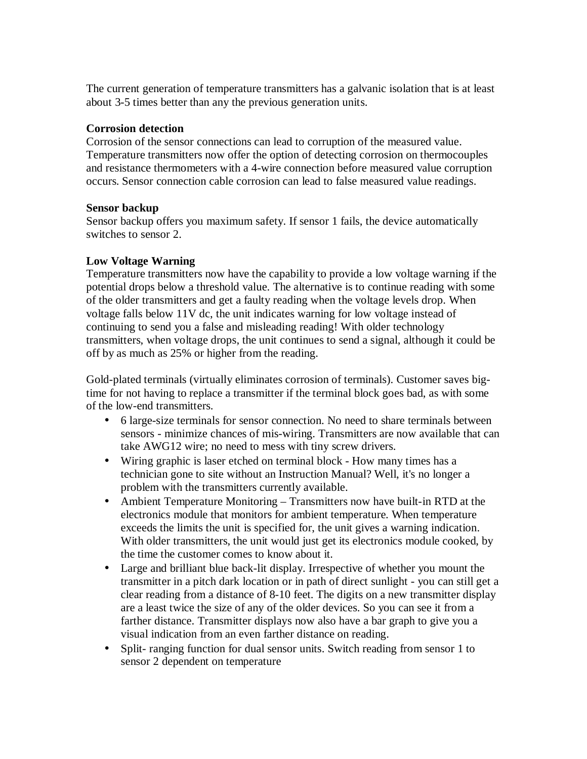The current generation of temperature transmitters has a galvanic isolation that is at least about 3-5 times better than any the previous generation units.

### **Corrosion detection**

Corrosion of the sensor connections can lead to corruption of the measured value. Temperature transmitters now offer the option of detecting corrosion on thermocouples and resistance thermometers with a 4-wire connection before measured value corruption occurs. Sensor connection cable corrosion can lead to false measured value readings.

#### **Sensor backup**

Sensor backup offers you maximum safety. If sensor 1 fails, the device automatically switches to sensor 2.

### **Low Voltage Warning**

Temperature transmitters now have the capability to provide a low voltage warning if the potential drops below a threshold value. The alternative is to continue reading with some of the older transmitters and get a faulty reading when the voltage levels drop. When voltage falls below 11V dc, the unit indicates warning for low voltage instead of continuing to send you a false and misleading reading! With older technology transmitters, when voltage drops, the unit continues to send a signal, although it could be off by as much as 25% or higher from the reading.

Gold-plated terminals (virtually eliminates corrosion of terminals). Customer saves bigtime for not having to replace a transmitter if the terminal block goes bad, as with some of the low-end transmitters.

- 6 large-size terminals for sensor connection. No need to share terminals between sensors - minimize chances of mis-wiring. Transmitters are now available that can take AWG12 wire; no need to mess with tiny screw drivers.
- Wiring graphic is laser etched on terminal block How many times has a technician gone to site without an Instruction Manual? Well, it's no longer a problem with the transmitters currently available.
- Ambient Temperature Monitoring Transmitters now have built-in RTD at the electronics module that monitors for ambient temperature. When temperature exceeds the limits the unit is specified for, the unit gives a warning indication. With older transmitters, the unit would just get its electronics module cooked, by the time the customer comes to know about it.
- Large and brilliant blue back-lit display. Irrespective of whether you mount the transmitter in a pitch dark location or in path of direct sunlight - you can still get a clear reading from a distance of 8-10 feet. The digits on a new transmitter display are a least twice the size of any of the older devices. So you can see it from a farther distance. Transmitter displays now also have a bar graph to give you a visual indication from an even farther distance on reading.
- Split- ranging function for dual sensor units. Switch reading from sensor 1 to sensor 2 dependent on temperature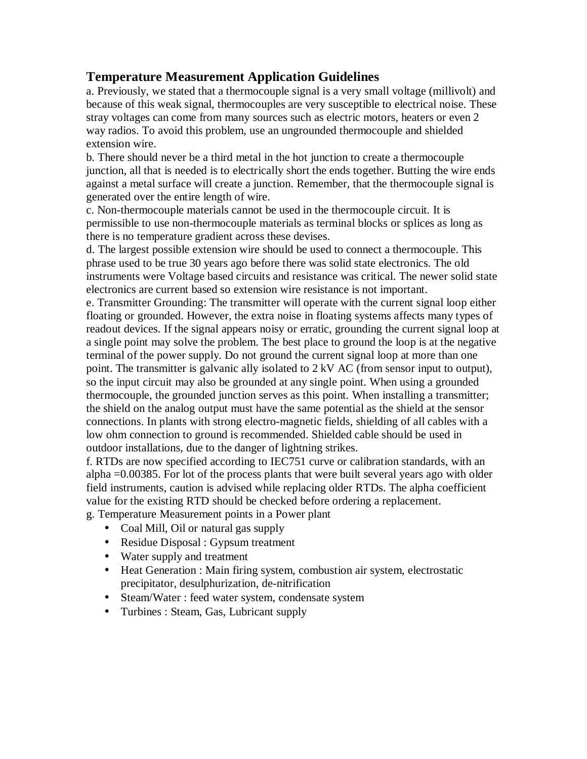# **Temperature Measurement Application Guidelines**

a. Previously, we stated that a thermocouple signal is a very small voltage (millivolt) and because of this weak signal, thermocouples are very susceptible to electrical noise. These stray voltages can come from many sources such as electric motors, heaters or even 2 way radios. To avoid this problem, use an ungrounded thermocouple and shielded extension wire.

b. There should never be a third metal in the hot junction to create a thermocouple junction, all that is needed is to electrically short the ends together. Butting the wire ends against a metal surface will create a junction. Remember, that the thermocouple signal is generated over the entire length of wire.

c. Non-thermocouple materials cannot be used in the thermocouple circuit. It is permissible to use non-thermocouple materials as terminal blocks or splices as long as there is no temperature gradient across these devises.

d. The largest possible extension wire should be used to connect a thermocouple. This phrase used to be true 30 years ago before there was solid state electronics. The old instruments were Voltage based circuits and resistance was critical. The newer solid state electronics are current based so extension wire resistance is not important.

e. Transmitter Grounding: The transmitter will operate with the current signal loop either floating or grounded. However, the extra noise in floating systems affects many types of readout devices. If the signal appears noisy or erratic, grounding the current signal loop at a single point may solve the problem. The best place to ground the loop is at the negative terminal of the power supply. Do not ground the current signal loop at more than one point. The transmitter is galvanic ally isolated to 2 kV AC (from sensor input to output), so the input circuit may also be grounded at any single point. When using a grounded thermocouple, the grounded junction serves as this point. When installing a transmitter; the shield on the analog output must have the same potential as the shield at the sensor connections. In plants with strong electro-magnetic fields, shielding of all cables with a low ohm connection to ground is recommended. Shielded cable should be used in outdoor installations, due to the danger of lightning strikes.

f. RTDs are now specified according to IEC751 curve or calibration standards, with an alpha =0.00385. For lot of the process plants that were built several years ago with older field instruments, caution is advised while replacing older RTDs. The alpha coefficient value for the existing RTD should be checked before ordering a replacement.

g. Temperature Measurement points in a Power plant

- Coal Mill, Oil or natural gas supply
- Residue Disposal : Gypsum treatment
- Water supply and treatment
- Heat Generation : Main firing system, combustion air system, electrostatic precipitator, desulphurization, de-nitrification
- Steam/Water : feed water system, condensate system
- Turbines : Steam, Gas, Lubricant supply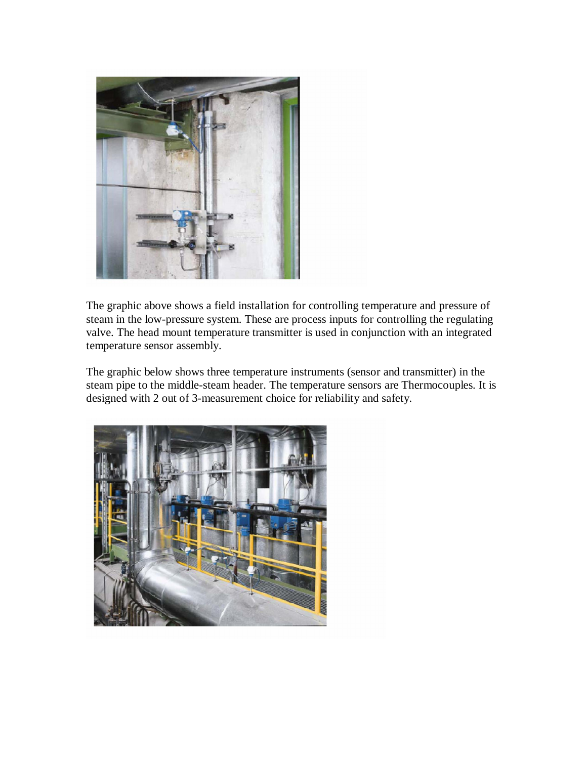

The graphic above shows a field installation for controlling temperature and pressure of steam in the low-pressure system. These are process inputs for controlling the regulating valve. The head mount temperature transmitter is used in conjunction with an integrated temperature sensor assembly.

The graphic below shows three temperature instruments (sensor and transmitter) in the steam pipe to the middle-steam header. The temperature sensors are Thermocouples. It is designed with 2 out of 3-measurement choice for reliability and safety.

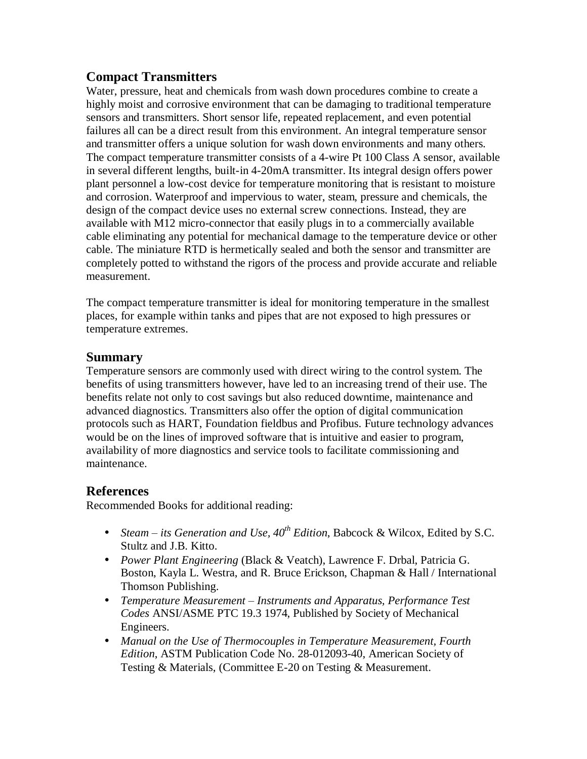# **Compact Transmitters**

Water, pressure, heat and chemicals from wash down procedures combine to create a highly moist and corrosive environment that can be damaging to traditional temperature sensors and transmitters. Short sensor life, repeated replacement, and even potential failures all can be a direct result from this environment. An integral temperature sensor and transmitter offers a unique solution for wash down environments and many others. The compact temperature transmitter consists of a 4-wire Pt 100 Class A sensor, available in several different lengths, built-in 4-20mA transmitter. Its integral design offers power plant personnel a low-cost device for temperature monitoring that is resistant to moisture and corrosion. Waterproof and impervious to water, steam, pressure and chemicals, the design of the compact device uses no external screw connections. Instead, they are available with M12 micro-connector that easily plugs in to a commercially available cable eliminating any potential for mechanical damage to the temperature device or other cable. The miniature RTD is hermetically sealed and both the sensor and transmitter are completely potted to withstand the rigors of the process and provide accurate and reliable measurement.

The compact temperature transmitter is ideal for monitoring temperature in the smallest places, for example within tanks and pipes that are not exposed to high pressures or temperature extremes.

### **Summary**

Temperature sensors are commonly used with direct wiring to the control system. The benefits of using transmitters however, have led to an increasing trend of their use. The benefits relate not only to cost savings but also reduced downtime, maintenance and advanced diagnostics. Transmitters also offer the option of digital communication protocols such as HART, Foundation fieldbus and Profibus. Future technology advances would be on the lines of improved software that is intuitive and easier to program, availability of more diagnostics and service tools to facilitate commissioning and maintenance.

### **References**

Recommended Books for additional reading:

- *Steam its Generation and Use, 40<sup>th</sup> Edition, Babcock & Wilcox, Edited by S.C.* Stultz and J.B. Kitto.
- *Power Plant Engineering* (Black & Veatch), Lawrence F. Drbal, Patricia G. Boston, Kayla L. Westra, and R. Bruce Erickson, Chapman & Hall / International Thomson Publishing.
- *Temperature Measurement Instruments and Apparatus, Performance Test Codes* ANSI/ASME PTC 19.3 1974, Published by Society of Mechanical Engineers.
- *Manual on the Use of Thermocouples in Temperature Measurement, Fourth Edition*, ASTM Publication Code No. 28-012093-40, American Society of Testing & Materials, (Committee E-20 on Testing & Measurement.